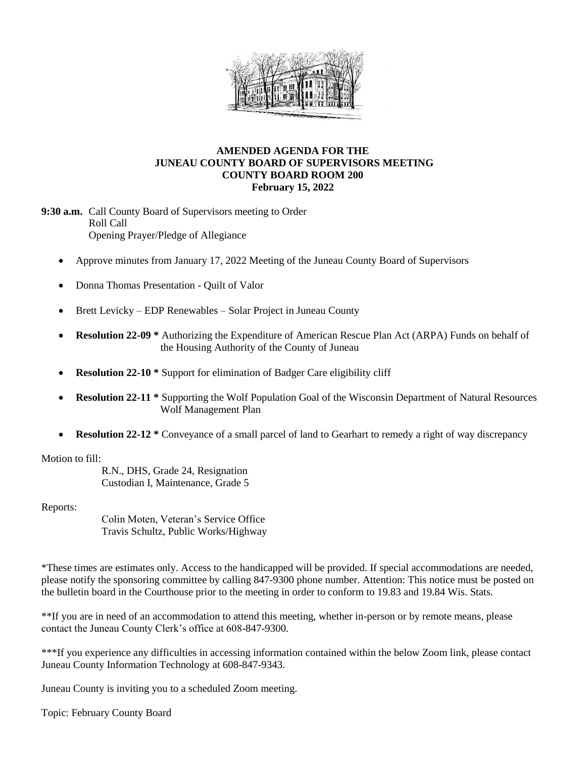

## **AMENDED AGENDA FOR THE JUNEAU COUNTY BOARD OF SUPERVISORS MEETING COUNTY BOARD ROOM 200 February 15, 2022**

**9:30 a.m.** Call County Board of Supervisors meeting to Order Roll Call Opening Prayer/Pledge of Allegiance

- Approve minutes from January 17, 2022 Meeting of the Juneau County Board of Supervisors
- Donna Thomas Presentation Quilt of Valor
- $\bullet$  Brett Levicky EDP Renewables Solar Project in Juneau County
- **Resolution 22-09 \*** Authorizing the Expenditure of American Rescue Plan Act (ARPA) Funds on behalf of the Housing Authority of the County of Juneau
- **Resolution 22-10 \*** Support for elimination of Badger Care eligibility cliff
- **Resolution 22-11 \*** Supporting the Wolf Population Goal of the Wisconsin Department of Natural Resources Wolf Management Plan
- **Resolution 22-12** \* Conveyance of a small parcel of land to Gearhart to remedy a right of way discrepancy

Motion to fill:

R.N., DHS, Grade 24, Resignation Custodian I, Maintenance, Grade 5

Reports:

Colin Moten, Veteran's Service Office Travis Schultz, Public Works/Highway

\*These times are estimates only. Access to the handicapped will be provided. If special accommodations are needed, please notify the sponsoring committee by calling 847-9300 phone number. Attention: This notice must be posted on the bulletin board in the Courthouse prior to the meeting in order to conform to 19.83 and 19.84 Wis. Stats.

\*\*If you are in need of an accommodation to attend this meeting, whether in-person or by remote means, please contact the Juneau County Clerk's office at 608-847-9300.

\*\*\*If you experience any difficulties in accessing information contained within the below Zoom link, please contact Juneau County Information Technology at 608-847-9343.

Juneau County is inviting you to a scheduled Zoom meeting.

Topic: February County Board